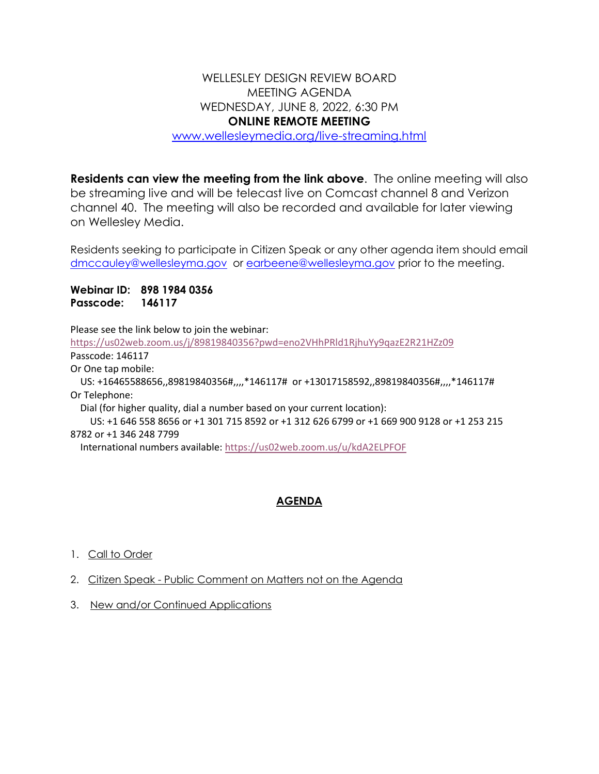## WELLESLEY DESIGN REVIEW BOARD MEETING AGENDA WEDNESDAY, JUNE 8, 2022, 6:30 PM **ONLINE REMOTE MEETING**

[www.wellesleymedia.org/live-streaming.html](http://www.wellesleymedia.org/live-streaming.html)

**Residents can view the meeting from the link above**. The online meeting will also be streaming live and will be telecast live on Comcast channel 8 and Verizon channel 40. The meeting will also be recorded and available for later viewing on Wellesley Media.

Residents seeking to participate in Citizen Speak or any other agenda item should email [dmccauley@wellesleyma.gov](mailto:dmccauley@wellesleyma.gov) or [earbeene@wellesleyma.gov](mailto:earbeene@wellesleyma.gov) prior to the meeting.

**Webinar ID: 898 1984 0356 Passcode: 146117**

Please see the link below to join the webinar:

<https://us02web.zoom.us/j/89819840356?pwd=eno2VHhPRld1RjhuYy9qazE2R21HZz09> Passcode: 146117

Or One tap mobile:

 US: +16465588656,,89819840356#,,,,\*146117# or +13017158592,,89819840356#,,,,\*146117# Or Telephone:

Dial (for higher quality, dial a number based on your current location):

 US: +1 646 558 8656 or +1 301 715 8592 or +1 312 626 6799 or +1 669 900 9128 or +1 253 215 8782 or +1 346 248 7799

International numbers available: <https://us02web.zoom.us/u/kdA2ELPFOF>

## **AGENDA**

- 1. Call to Order
- 2. Citizen Speak Public Comment on Matters not on the Agenda
- 3. New and/or Continued Applications